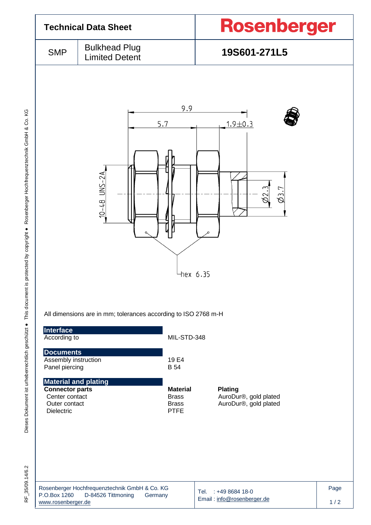

RF 35/09.14/6.2